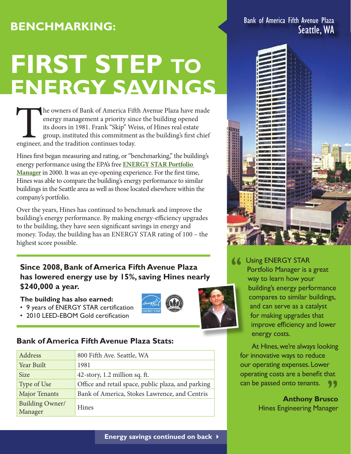## **Benchmarking:**

# **FIRST STEP TO ENERGY SAVINGS**

The owners of Bank of America Fifth Avenue Plaza have made energy management a priority since the building opened its doors in 1981. Frank "Skip" Weiss, of Hines real estate group, instituted this commitment as the buildin energy management a priority since the building opened its doors in 1981. Frank "Skip" Weiss, of Hines real estate group, instituted this commitment as the building's first chief engineer, and the tradition continues today.

Hines first began measuring and rating, or "benchmarking," the building's energy performance using the EPA's free **[Energy Star Portfolio](http://www.energystar.gov/index.cfm?c=evaluate_performance.bus_portfoliomanager)  [Manager](http://www.energystar.gov/index.cfm?c=evaluate_performance.bus_portfoliomanager)** in 2000. It was an eye-opening experience. For the first time, Hines was able to compare the building's energy performance to similar buildings in the Seattle area as well as those located elsewhere within the company's portfolio.

Over the years, Hines has continued to benchmark and improve the building's energy performance. By making energy-efficiency upgrades to the building, they have seen significant savings in energy and money. Today, the building has an ENERGY STAR rating of 100 – the highest score possible.

#### **Since 2008, Bank of America Fifth Avenue Plaza has lowered energy use by 15%, saving Hines nearly \$240,000 a year.**

#### **The building has also earned:**

- 9 years of ENERGY STAR certification
- 2010 LEED-EBOM Gold certification

#### **Bank of America Fifth Avenue Plaza Stats:**

| Address                           | 800 Fifth Ave. Seattle, WA                         |
|-----------------------------------|----------------------------------------------------|
| Year Built                        | 1981                                               |
| <b>Size</b>                       | 42-story, 1.2 million sq. ft.                      |
| Type of Use                       | Office and retail space, public plaza, and parking |
| <b>Major Tenants</b>              | Bank of America, Stokes Lawrence, and Centris      |
| <b>Building Owner/</b><br>Manager | <b>Hines</b>                                       |

Bank of America Fifth Avenue Plaza Seattle, WA



GUSing ENERGY STAR<br>
Portfolio Manager is a<br>
way to learn how you Portfolio Manager is a great way to learn how your building's energy performance compares to similar buildings, and can serve as a catalyst for making upgrades that improve efficiency and lower energy costs.

At Hines, we're always looking for innovative ways to reduce our operating expenses. Lower operating costs are a benefit that can be passed onto tenants. 99

> **Anthony Brusco** Hines Engineering Manager

**Energy savings continued on back** 4